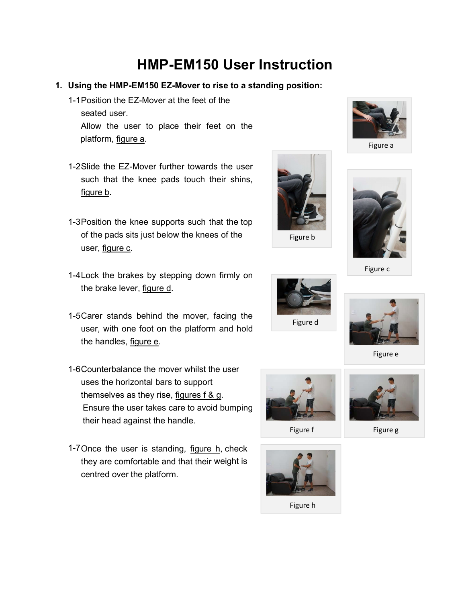## HMP-EM150 User Instruction

- 1. Using the HMP-EM150 EZ-Mover to rise to a standing position:
	- 1-1 Position the EZ-Mover at the feet of the seated user. Allow the user to place their feet on the platform, figure a.
	- 1-2 Slide the EZ-Mover further towards the user such that the knee pads touch their shins, figure b.
	- 1-3 Position the knee supports such that the top of the pads sits just below the knees of the user, figure c.
	- 1-4 Lock the brakes by stepping down firmly on the brake lever, figure d.
	- 1-5 Carer stands behind the mover, facing the user, with one foot on the platform and hold the handles, figure e.
	- 1-6 Counterbalance the mover whilst the user uses the horizontal bars to support themselves as they rise, figures f & g. Ensure the user takes care to avoid bumping their head against the handle.
	- 1-7 Once the user is standing, figure h, check they are comfortable and that their weight is centred over the platform.





Figure c

Figure a





Figure e



Figure f Figure g



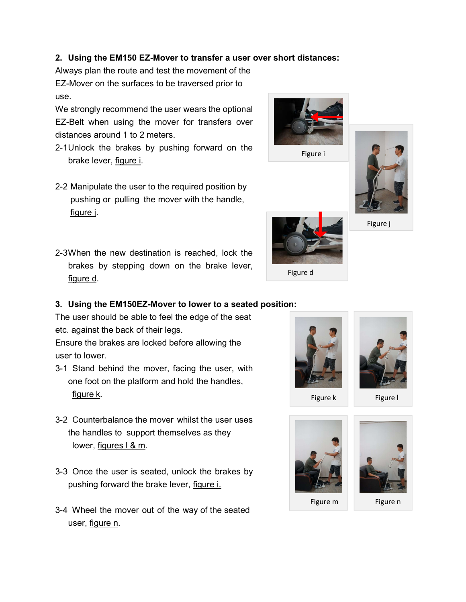## 2. Using the EM150 EZ-Mover to transfer a user over short distances:

Always plan the route and test the movement of the EZ-Mover on the surfaces to be traversed prior to use.

We strongly recommend the user wears the optional EZ-Belt when using the mover for transfers over distances around 1 to 2 meters.

- 2-1 Unlock the brakes by pushing forward on the brake lever, figure i.
- 2-2 Manipulate the user to the required position by pushing or pulling the mover with the handle, figure j.
- 2-3 When the new destination is reached, lock the brakes by stepping down on the brake lever, figure d.

## 3. Using the EM150EZ-Mover to lower to a seated position:

The user should be able to feel the edge of the seat etc. against the back of their legs.

Ensure the brakes are locked before allowing the user to lower.

- 3-1 Stand behind the mover, facing the user, with one foot on the platform and hold the handles, figure k.
- 3-2 Counterbalance the mover whilst the user uses the handles to support themselves as they lower, figures l & m.
- 3-3 Once the user is seated, unlock the brakes by pushing forward the brake lever, figure i.
- 3-4 Wheel the mover out of the way of the seated user, figure n.





Figure k Figure I





Figure m Figure n



Figure i

Figure j